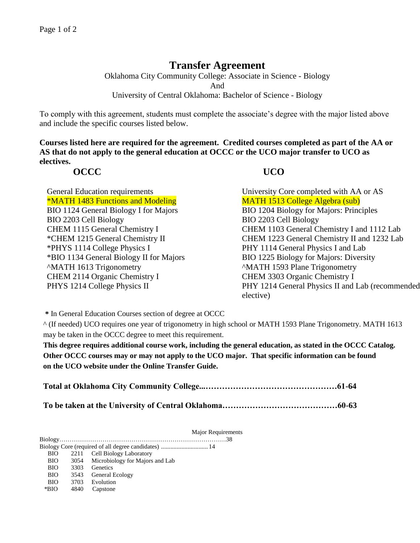## **Transfer Agreement**

Oklahoma City Community College: Associate in Science - Biology And University of Central Oklahoma: Bachelor of Science - Biology

To comply with this agreement, students must complete the associate's degree with the major listed above and include the specific courses listed below.

**Courses listed here are required for the agreement. Credited courses completed as part of the AA or AS that do not apply to the general education at OCCC or the UCO major transfer to UCO as electives.**

## **OCCC UCO**

\*MATH 1483 Functions and Modeling MATH 1513 College Algebra (sub) BIO 1124 General Biology I for Majors BIO 1204 Biology for Majors: Principles BIO 2203 Cell Biology BIO 2203 Cell Biology \*PHYS 1114 College Physics I PHY 1114 General Physics I and Lab \*BIO 1134 General Biology II for Majors BIO 1225 Biology for Majors: Diversity ^MATH 1613 Trigonometry ^MATH 1593 Plane Trigonometry CHEM 2114 Organic Chemistry I CHEM 3303 Organic Chemistry I

General Education requirements University Core completed with AA or AS CHEM 1115 General Chemistry I CHEM 1103 General Chemistry I and 1112 Lab \*CHEM 1215 General Chemistry II CHEM 1223 General Chemistry II and 1232 Lab PHYS 1214 College Physics II PHY 1214 General Physics II and Lab (recommended elective)

**\*** In General Education Courses section of degree at OCCC

^ (If needed) UCO requires one year of trigonometry in high school or MATH 1593 Plane Trigonometry. MATH 1613 may be taken in the OCCC degree to meet this requirement.

**This degree requires additional course work, including the general education, as stated in the OCCC Catalog. Other OCCC courses may or may not apply to the UCO major. That specific information can be found on the UCO website under the Online Transfer Guide.**

|--|--|--|

**To be taken at the University of Central Oklahoma……………………………………60-63**

Major Requirements

Biology………………………………………………………………………38

Biology Core (required of all degree candidates) .............................. 14 BIO 2211 Cell Biology Laboratory

- BIO 3054 Microbiology for Majors and Lab
- BIO 3303 Genetics
- BIO 3543 General Ecology
- BIO 3703 Evolution
- \*BIO 4840 Capstone